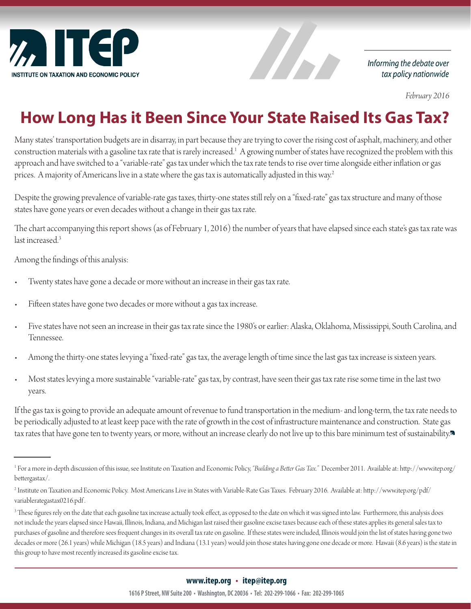

Informing the debate over tax policy nationwide

 *February 2016*

## **How Long Has it Been Since Your State Raised Its Gas Tax?**

Alban

Many states' transportation budgets are in disarray, in part because they are trying to cover the rising cost of asphalt, machinery, and other construction materials with a gasoline tax rate that is rarely increased.<sup>1</sup> A growing number of states have recognized the problem with this approach and have switched to a "variable-rate" gas tax under which the tax rate tends to rise over time alongside either inflation or gas prices. A majority of Americans live in a state where the gas tax is automatically adjusted in this way.<sup>2</sup>

Despite the growing prevalence of variable-rate gas taxes, thirty-one states still rely on a "fixed-rate" gas tax structure and many of those states have gone years or even decades without a change in their gas tax rate.

The chart accompanying this report shows (as of February 1, 2016) the number of years that have elapsed since each state's gas tax rate was last increased  $3$ 

Among the findings of this analysis:

- Twenty states have gone a decade or more without an increase in their gas tax rate.
- Fifteen states have gone two decades or more without a gas tax increase.
- Five states have not seen an increase in their gas tax rate since the 1980's or earlier: Alaska, Oklahoma, Mississippi, South Carolina, and Tennessee.
- Among the thirty-one states levying a "fixed-rate" gas tax, the average length of time since the last gas tax increase is sixteen years.
- Most states levying a more sustainable "variable-rate" gas tax, by contrast, have seen their gas tax rate rise some time in the last two years.

If the gas tax is going to provide an adequate amount of revenue to fund transportation in the medium- and long-term, the tax rate needs to be periodically adjusted to at least keep pace with the rate of growth in the cost of infrastructure maintenance and construction. State gas tax rates that have gone ten to twenty years, or more, without an increase clearly do not live up to this bare minimum test of sustainability.

<sup>1</sup> For a more in-depth discussion of this issue, see Institute on Taxation and Economic Policy, *"Building a Better Gas Tax."* December 2011. Available at: http://www.itep.org/ bettergastax/.

<sup>2</sup> Institute on Taxation and Economic Policy. Most Americans Live in States with Variable-Rate Gas Taxes. February 2016. Available at: http://www.itep.org/pdf/ variablerategastax0216.pdf .

 $^3$  These figures rely on the date that each gasoline tax increase actually took effect, as opposed to the date on which it was signed into law. Furthermore, this analysis does not include the years elapsed since Hawaii, Illinois, Indiana, and Michigan last raised their gasoline excise taxes because each of these states applies its general sales tax to purchases of gasoline and therefore sees frequent changes in its overall tax rate on gasoline. If these states were included, Illinois would join the list of states having gone two decades or more (26.1 years) while Michigan (18.5 years) and Indiana (13.1 years) would join those states having gone one decade or more. Hawaii (8.6 years) is the state in this group to have most recently increased its gasoline excise tax.